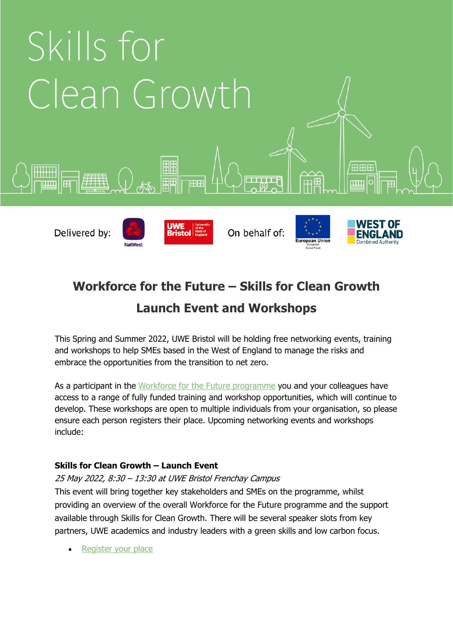

# **Workforce for the Future – Skills for Clean Growth**

# **Launch Event and Workshops**

This Spring and Summer 2022, UWE Bristol will be holding free networking events, training and workshops to help SMEs based in the West of England to manage the risks and embrace the opportunities from the transition to net zero.

As a participant in the [Workforce for the Future programme](https://www.skillsforfutures.co.uk/cleangrowth) you and your colleagues have access to a range of fully funded training and workshop opportunities, which will continue to develop. These workshops are open to multiple individuals from your organisation, so please ensure each person registers their place. Upcoming networking events and workshops include:

# **Skills for Clean Growth – Launch Event**

25 May 2022, 8:30 – 13:30 at UWE Bristol Frenchay Campus This event will bring together key stakeholders and SMEs on the programme, whilst providing an overview of the overall Workforce for the Future programme and the support available through Skills for Clean Growth. There will be several speaker slots from key partners, UWE academics and industry leaders with a green skills and low carbon focus.

[Register your place](https://forms.office.com/Pages/ResponsePage.aspx?id=CBLvBzxBXkuc3WTvMFdU8HpY9oTjZ6dCiv4oFBWAOjJURFhaWVZBUUU4SFRFM1lBVEVLM0hGOTNWQyQlQCN0PWcu)